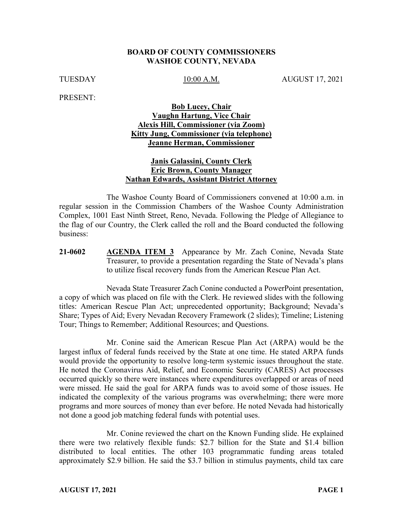#### **BOARD OF COUNTY COMMISSIONERS WASHOE COUNTY, NEVADA**

TUESDAY 10:00 A.M. AUGUST 17, 2021

PRESENT:

#### **Bob Lucey, Chair Vaughn Hartung, Vice Chair Alexis Hill, Commissioner (via Zoom) Kitty Jung, Commissioner (via telephone) Jeanne Herman, Commissioner**

#### **Janis Galassini, County Clerk Eric Brown, County Manager Nathan Edwards, Assistant District Attorney**

The Washoe County Board of Commissioners convened at 10:00 a.m. in regular session in the Commission Chambers of the Washoe County Administration Complex, 1001 East Ninth Street, Reno, Nevada. Following the Pledge of Allegiance to the flag of our Country, the Clerk called the roll and the Board conducted the following business:

**21-0602 AGENDA ITEM 3** Appearance by Mr. Zach Conine, Nevada State Treasurer, to provide a presentation regarding the State of Nevada's plans to utilize fiscal recovery funds from the American Rescue Plan Act.

Nevada State Treasurer Zach Conine conducted a PowerPoint presentation, a copy of which was placed on file with the Clerk. He reviewed slides with the following titles: American Rescue Plan Act; unprecedented opportunity; Background; Nevada's Share; Types of Aid; Every Nevadan Recovery Framework (2 slides); Timeline; Listening Tour; Things to Remember; Additional Resources; and Questions.

Mr. Conine said the American Rescue Plan Act (ARPA) would be the largest influx of federal funds received by the State at one time. He stated ARPA funds would provide the opportunity to resolve long-term systemic issues throughout the state. He noted the Coronavirus Aid, Relief, and Economic Security (CARES) Act processes occurred quickly so there were instances where expenditures overlapped or areas of need were missed. He said the goal for ARPA funds was to avoid some of those issues. He indicated the complexity of the various programs was overwhelming; there were more programs and more sources of money than ever before. He noted Nevada had historically not done a good job matching federal funds with potential uses.

Mr. Conine reviewed the chart on the Known Funding slide. He explained there were two relatively flexible funds: \$2.7 billion for the State and \$1.4 billion distributed to local entities. The other 103 programmatic funding areas totaled approximately \$2.9 billion. He said the \$3.7 billion in stimulus payments, child tax care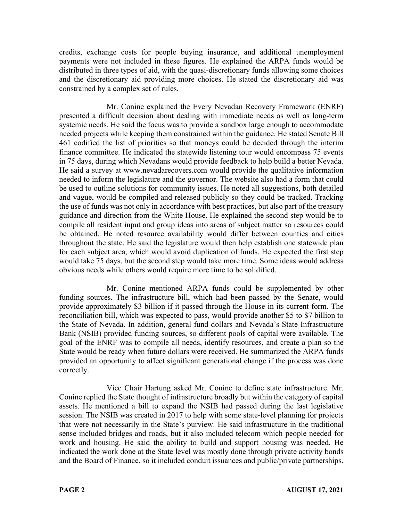credits, exchange costs for people buying insurance, and additional unemployment payments were not included in these figures. He explained the ARPA funds would be distributed in three types of aid, with the quasi-discretionary funds allowing some choices and the discretionary aid providing more choices. He stated the discretionary aid was constrained by a complex set of rules.

Mr. Conine explained the Every Nevadan Recovery Framework (ENRF) presented a difficult decision about dealing with immediate needs as well as long-term systemic needs. He said the focus was to provide a sandbox large enough to accommodate needed projects while keeping them constrained within the guidance. He stated Senate Bill 461 codified the list of priorities so that moneys could be decided through the interim finance committee. He indicated the statewide listening tour would encompass 75 events in 75 days, during which Nevadans would provide feedback to help build a better Nevada. He said a survey at www.nevadarecovers.com would provide the qualitative information needed to inform the legislature and the governor. The website also had a form that could be used to outline solutions for community issues. He noted all suggestions, both detailed and vague, would be compiled and released publicly so they could be tracked. Tracking the use of funds was not only in accordance with best practices, but also part of the treasury guidance and direction from the White House. He explained the second step would be to compile all resident input and group ideas into areas of subject matter so resources could be obtained. He noted resource availability would differ between counties and cities throughout the state. He said the legislature would then help establish one statewide plan for each subject area, which would avoid duplication of funds. He expected the first step would take 75 days, but the second step would take more time. Some ideas would address obvious needs while others would require more time to be solidified.

Mr. Conine mentioned ARPA funds could be supplemented by other funding sources. The infrastructure bill, which had been passed by the Senate, would provide approximately \$3 billion if it passed through the House in its current form. The reconciliation bill, which was expected to pass, would provide another \$5 to \$7 billion to the State of Nevada. In addition, general fund dollars and Nevada's State Infrastructure Bank (NSIB) provided funding sources, so different pools of capital were available. The goal of the ENRF was to compile all needs, identify resources, and create a plan so the State would be ready when future dollars were received. He summarized the ARPA funds provided an opportunity to affect significant generational change if the process was done correctly.

Vice Chair Hartung asked Mr. Conine to define state infrastructure. Mr. Conine replied the State thought of infrastructure broadly but within the category of capital assets. He mentioned a bill to expand the NSIB had passed during the last legislative session. The NSIB was created in 2017 to help with some state-level planning for projects that were not necessarily in the State's purview. He said infrastructure in the traditional sense included bridges and roads, but it also included telecom which people needed for work and housing. He said the ability to build and support housing was needed. He indicated the work done at the State level was mostly done through private activity bonds and the Board of Finance, so it included conduit issuances and public/private partnerships.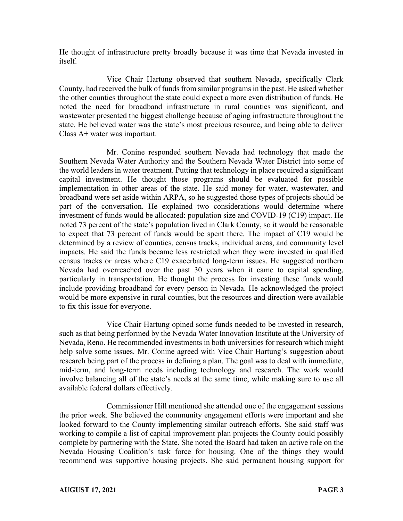He thought of infrastructure pretty broadly because it was time that Nevada invested in itself.

Vice Chair Hartung observed that southern Nevada, specifically Clark County, had received the bulk of funds from similar programs in the past. He asked whether the other counties throughout the state could expect a more even distribution of funds. He noted the need for broadband infrastructure in rural counties was significant, and wastewater presented the biggest challenge because of aging infrastructure throughout the state. He believed water was the state's most precious resource, and being able to deliver Class A+ water was important.

Mr. Conine responded southern Nevada had technology that made the Southern Nevada Water Authority and the Southern Nevada Water District into some of the world leaders in water treatment. Putting that technology in place required a significant capital investment. He thought those programs should be evaluated for possible implementation in other areas of the state. He said money for water, wastewater, and broadband were set aside within ARPA, so he suggested those types of projects should be part of the conversation. He explained two considerations would determine where investment of funds would be allocated: population size and COVID-19 (C19) impact. He noted 73 percent of the state's population lived in Clark County, so it would be reasonable to expect that 73 percent of funds would be spent there. The impact of C19 would be determined by a review of counties, census tracks, individual areas, and community level impacts. He said the funds became less restricted when they were invested in qualified census tracks or areas where C19 exacerbated long-term issues. He suggested northern Nevada had overreached over the past 30 years when it came to capital spending, particularly in transportation. He thought the process for investing these funds would include providing broadband for every person in Nevada. He acknowledged the project would be more expensive in rural counties, but the resources and direction were available to fix this issue for everyone.

Vice Chair Hartung opined some funds needed to be invested in research, such as that being performed by the Nevada Water Innovation Institute at the University of Nevada, Reno. He recommended investments in both universities for research which might help solve some issues. Mr. Conine agreed with Vice Chair Hartung's suggestion about research being part of the process in defining a plan. The goal was to deal with immediate, mid-term, and long-term needs including technology and research. The work would involve balancing all of the state's needs at the same time, while making sure to use all available federal dollars effectively.

Commissioner Hill mentioned she attended one of the engagement sessions the prior week. She believed the community engagement efforts were important and she looked forward to the County implementing similar outreach efforts. She said staff was working to compile a list of capital improvement plan projects the County could possibly complete by partnering with the State. She noted the Board had taken an active role on the Nevada Housing Coalition's task force for housing. One of the things they would recommend was supportive housing projects. She said permanent housing support for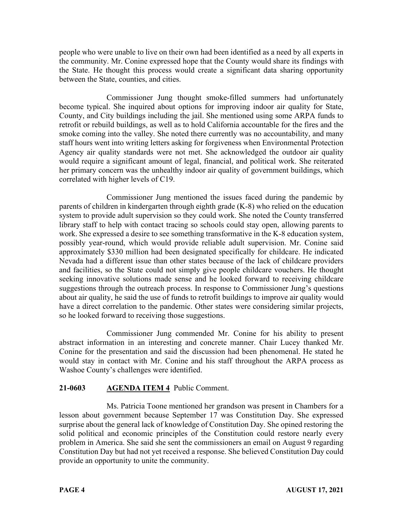people who were unable to live on their own had been identified as a need by all experts in the community. Mr. Conine expressed hope that the County would share its findings with the State. He thought this process would create a significant data sharing opportunity between the State, counties, and cities.

Commissioner Jung thought smoke-filled summers had unfortunately become typical. She inquired about options for improving indoor air quality for State, County, and City buildings including the jail. She mentioned using some ARPA funds to retrofit or rebuild buildings, as well as to hold California accountable for the fires and the smoke coming into the valley. She noted there currently was no accountability, and many staff hours went into writing letters asking for forgiveness when Environmental Protection Agency air quality standards were not met. She acknowledged the outdoor air quality would require a significant amount of legal, financial, and political work. She reiterated her primary concern was the unhealthy indoor air quality of government buildings, which correlated with higher levels of C19.

Commissioner Jung mentioned the issues faced during the pandemic by parents of children in kindergarten through eighth grade (K-8) who relied on the education system to provide adult supervision so they could work. She noted the County transferred library staff to help with contact tracing so schools could stay open, allowing parents to work. She expressed a desire to see something transformative in the K-8 education system, possibly year-round, which would provide reliable adult supervision. Mr. Conine said approximately \$330 million had been designated specifically for childcare. He indicated Nevada had a different issue than other states because of the lack of childcare providers and facilities, so the State could not simply give people childcare vouchers. He thought seeking innovative solutions made sense and he looked forward to receiving childcare suggestions through the outreach process. In response to Commissioner Jung's questions about air quality, he said the use of funds to retrofit buildings to improve air quality would have a direct correlation to the pandemic. Other states were considering similar projects, so he looked forward to receiving those suggestions.

Commissioner Jung commended Mr. Conine for his ability to present abstract information in an interesting and concrete manner. Chair Lucey thanked Mr. Conine for the presentation and said the discussion had been phenomenal. He stated he would stay in contact with Mr. Conine and his staff throughout the ARPA process as Washoe County's challenges were identified.

# **21-0603 AGENDA ITEM 4** Public Comment.

Ms. Patricia Toone mentioned her grandson was present in Chambers for a lesson about government because September 17 was Constitution Day. She expressed surprise about the general lack of knowledge of Constitution Day. She opined restoring the solid political and economic principles of the Constitution could restore nearly every problem in America. She said she sent the commissioners an email on August 9 regarding Constitution Day but had not yet received a response. She believed Constitution Day could provide an opportunity to unite the community.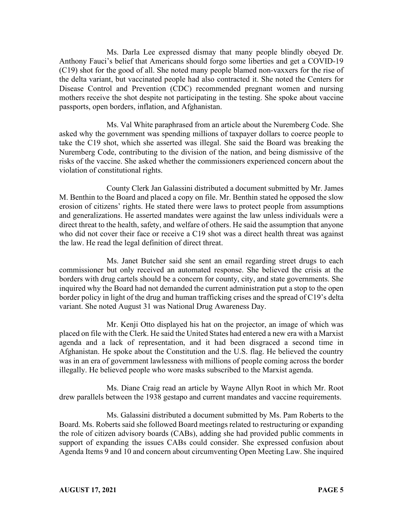Ms. Darla Lee expressed dismay that many people blindly obeyed Dr. Anthony Fauci's belief that Americans should forgo some liberties and get a COVID-19 (C19) shot for the good of all. She noted many people blamed non-vaxxers for the rise of the delta variant, but vaccinated people had also contracted it. She noted the Centers for Disease Control and Prevention (CDC) recommended pregnant women and nursing mothers receive the shot despite not participating in the testing. She spoke about vaccine passports, open borders, inflation, and Afghanistan.

Ms. Val White paraphrased from an article about the Nuremberg Code. She asked why the government was spending millions of taxpayer dollars to coerce people to take the C19 shot, which she asserted was illegal. She said the Board was breaking the Nuremberg Code, contributing to the division of the nation, and being dismissive of the risks of the vaccine. She asked whether the commissioners experienced concern about the violation of constitutional rights.

County Clerk Jan Galassini distributed a document submitted by Mr. James M. Benthin to the Board and placed a copy on file. Mr. Benthin stated he opposed the slow erosion of citizens' rights. He stated there were laws to protect people from assumptions and generalizations. He asserted mandates were against the law unless individuals were a direct threat to the health, safety, and welfare of others. He said the assumption that anyone who did not cover their face or receive a C19 shot was a direct health threat was against the law. He read the legal definition of direct threat.

Ms. Janet Butcher said she sent an email regarding street drugs to each commissioner but only received an automated response. She believed the crisis at the borders with drug cartels should be a concern for county, city, and state governments. She inquired why the Board had not demanded the current administration put a stop to the open border policy in light of the drug and human trafficking crises and the spread of C19's delta variant. She noted August 31 was National Drug Awareness Day.

Mr. Kenji Otto displayed his hat on the projector, an image of which was placed on file with the Clerk. He said the United States had entered a new era with a Marxist agenda and a lack of representation, and it had been disgraced a second time in Afghanistan. He spoke about the Constitution and the U.S. flag. He believed the country was in an era of government lawlessness with millions of people coming across the border illegally. He believed people who wore masks subscribed to the Marxist agenda.

Ms. Diane Craig read an article by Wayne Allyn Root in which Mr. Root drew parallels between the 1938 gestapo and current mandates and vaccine requirements.

Ms. Galassini distributed a document submitted by Ms. Pam Roberts to the Board. Ms. Roberts said she followed Board meetings related to restructuring or expanding the role of citizen advisory boards (CABs), adding she had provided public comments in support of expanding the issues CABs could consider. She expressed confusion about Agenda Items 9 and 10 and concern about circumventing Open Meeting Law. She inquired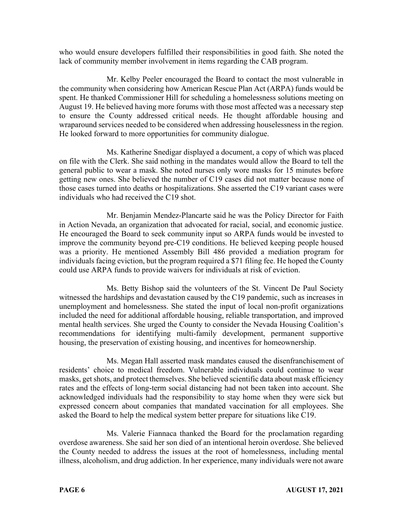who would ensure developers fulfilled their responsibilities in good faith. She noted the lack of community member involvement in items regarding the CAB program.

Mr. Kelby Peeler encouraged the Board to contact the most vulnerable in the community when considering how American Rescue Plan Act (ARPA) funds would be spent. He thanked Commissioner Hill for scheduling a homelessness solutions meeting on August 19. He believed having more forums with those most affected was a necessary step to ensure the County addressed critical needs. He thought affordable housing and wraparound services needed to be considered when addressing houselessness in the region. He looked forward to more opportunities for community dialogue.

Ms. Katherine Snedigar displayed a document, a copy of which was placed on file with the Clerk. She said nothing in the mandates would allow the Board to tell the general public to wear a mask. She noted nurses only wore masks for 15 minutes before getting new ones. She believed the number of C19 cases did not matter because none of those cases turned into deaths or hospitalizations. She asserted the C19 variant cases were individuals who had received the C19 shot.

Mr. Benjamin Mendez-Plancarte said he was the Policy Director for Faith in Action Nevada, an organization that advocated for racial, social, and economic justice. He encouraged the Board to seek community input so ARPA funds would be invested to improve the community beyond pre-C19 conditions. He believed keeping people housed was a priority. He mentioned Assembly Bill 486 provided a mediation program for individuals facing eviction, but the program required a \$71 filing fee. He hoped the County could use ARPA funds to provide waivers for individuals at risk of eviction.

Ms. Betty Bishop said the volunteers of the St. Vincent De Paul Society witnessed the hardships and devastation caused by the C19 pandemic, such as increases in unemployment and homelessness. She stated the input of local non-profit organizations included the need for additional affordable housing, reliable transportation, and improved mental health services. She urged the County to consider the Nevada Housing Coalition's recommendations for identifying multi-family development, permanent supportive housing, the preservation of existing housing, and incentives for homeownership.

Ms. Megan Hall asserted mask mandates caused the disenfranchisement of residents' choice to medical freedom. Vulnerable individuals could continue to wear masks, get shots, and protect themselves. She believed scientific data about mask efficiency rates and the effects of long-term social distancing had not been taken into account. She acknowledged individuals had the responsibility to stay home when they were sick but expressed concern about companies that mandated vaccination for all employees. She asked the Board to help the medical system better prepare for situations like C19.

Ms. Valerie Fiannaca thanked the Board for the proclamation regarding overdose awareness. She said her son died of an intentional heroin overdose. She believed the County needed to address the issues at the root of homelessness, including mental illness, alcoholism, and drug addiction. In her experience, many individuals were not aware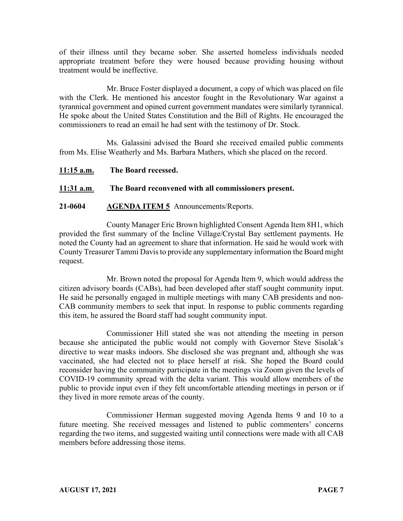of their illness until they became sober. She asserted homeless individuals needed appropriate treatment before they were housed because providing housing without treatment would be ineffective.

Mr. Bruce Foster displayed a document, a copy of which was placed on file with the Clerk. He mentioned his ancestor fought in the Revolutionary War against a tyrannical government and opined current government mandates were similarly tyrannical. He spoke about the United States Constitution and the Bill of Rights. He encouraged the commissioners to read an email he had sent with the testimony of Dr. Stock.

Ms. Galassini advised the Board she received emailed public comments from Ms. Elise Weatherly and Ms. Barbara Mathers, which she placed on the record.

**11:15 a.m. The Board recessed.**

# **11:31 a.m**. **The Board reconvened with all commissioners present.**

# **21-0604 AGENDA ITEM 5** Announcements/Reports.

County Manager Eric Brown highlighted Consent Agenda Item 8H1, which provided the first summary of the Incline Village/Crystal Bay settlement payments. He noted the County had an agreement to share that information. He said he would work with County Treasurer Tammi Davis to provide any supplementary information the Board might request.

Mr. Brown noted the proposal for Agenda Item 9, which would address the citizen advisory boards (CABs), had been developed after staff sought community input. He said he personally engaged in multiple meetings with many CAB presidents and non-CAB community members to seek that input. In response to public comments regarding this item, he assured the Board staff had sought community input.

Commissioner Hill stated she was not attending the meeting in person because she anticipated the public would not comply with Governor Steve Sisolak's directive to wear masks indoors. She disclosed she was pregnant and, although she was vaccinated, she had elected not to place herself at risk. She hoped the Board could reconsider having the community participate in the meetings via Zoom given the levels of COVID-19 community spread with the delta variant. This would allow members of the public to provide input even if they felt uncomfortable attending meetings in person or if they lived in more remote areas of the county.

Commissioner Herman suggested moving Agenda Items 9 and 10 to a future meeting. She received messages and listened to public commenters' concerns regarding the two items, and suggested waiting until connections were made with all CAB members before addressing those items.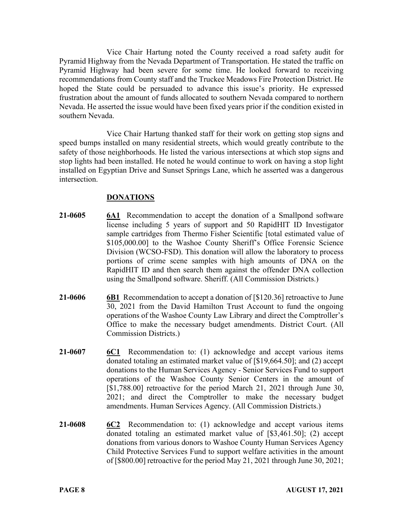Vice Chair Hartung noted the County received a road safety audit for Pyramid Highway from the Nevada Department of Transportation. He stated the traffic on Pyramid Highway had been severe for some time. He looked forward to receiving recommendations from County staff and the Truckee Meadows Fire Protection District. He hoped the State could be persuaded to advance this issue's priority. He expressed frustration about the amount of funds allocated to southern Nevada compared to northern Nevada. He asserted the issue would have been fixed years prior if the condition existed in southern Nevada.

Vice Chair Hartung thanked staff for their work on getting stop signs and speed bumps installed on many residential streets, which would greatly contribute to the safety of those neighborhoods. He listed the various intersections at which stop signs and stop lights had been installed. He noted he would continue to work on having a stop light installed on Egyptian Drive and Sunset Springs Lane, which he asserted was a dangerous intersection.

# **DONATIONS**

- **21-0605 6A1** Recommendation to accept the donation of a Smallpond software license including 5 years of support and 50 RapidHIT ID Investigator sample cartridges from Thermo Fisher Scientific [total estimated value of \$105,000.00] to the Washoe County Sheriff's Office Forensic Science Division (WCSO-FSD). This donation will allow the laboratory to process portions of crime scene samples with high amounts of DNA on the RapidHIT ID and then search them against the offender DNA collection using the Smallpond software. Sheriff. (All Commission Districts.)
- **21-0606 6B1** Recommendation to accept a donation of [\$120.36] retroactive to June 30, 2021 from the David Hamilton Trust Account to fund the ongoing operations of the Washoe County Law Library and direct the Comptroller's Office to make the necessary budget amendments. District Court. (All Commission Districts.)
- **21-0607 6C1** Recommendation to: (1) acknowledge and accept various items donated totaling an estimated market value of [\$19,664.50]; and (2) accept donations to the Human Services Agency - Senior Services Fund to support operations of the Washoe County Senior Centers in the amount of [\$1,788.00] retroactive for the period March 21, 2021 through June 30, 2021; and direct the Comptroller to make the necessary budget amendments. Human Services Agency. (All Commission Districts.)
- **21-0608 6C2** Recommendation to: (1) acknowledge and accept various items donated totaling an estimated market value of [\$3,461.50]; (2) accept donations from various donors to Washoe County Human Services Agency Child Protective Services Fund to support welfare activities in the amount of [\$800.00] retroactive for the period May 21, 2021 through June 30, 2021;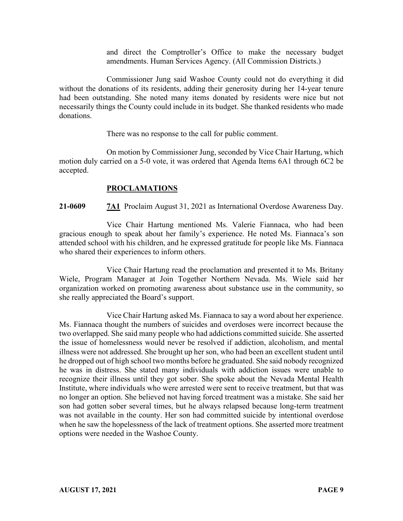and direct the Comptroller's Office to make the necessary budget amendments. Human Services Agency. (All Commission Districts.)

Commissioner Jung said Washoe County could not do everything it did without the donations of its residents, adding their generosity during her 14-year tenure had been outstanding. She noted many items donated by residents were nice but not necessarily things the County could include in its budget. She thanked residents who made donations.

There was no response to the call for public comment.

On motion by Commissioner Jung, seconded by Vice Chair Hartung, which motion duly carried on a 5-0 vote, it was ordered that Agenda Items 6A1 through 6C2 be accepted.

#### **PROCLAMATIONS**

**21-0609 7A1** Proclaim August 31, 2021 as International Overdose Awareness Day.

Vice Chair Hartung mentioned Ms. Valerie Fiannaca, who had been gracious enough to speak about her family's experience. He noted Ms. Fiannaca's son attended school with his children, and he expressed gratitude for people like Ms. Fiannaca who shared their experiences to inform others.

Vice Chair Hartung read the proclamation and presented it to Ms. Britany Wiele, Program Manager at Join Together Northern Nevada. Ms. Wiele said her organization worked on promoting awareness about substance use in the community, so she really appreciated the Board's support.

Vice Chair Hartung asked Ms. Fiannaca to say a word about her experience. Ms. Fiannaca thought the numbers of suicides and overdoses were incorrect because the two overlapped. She said many people who had addictions committed suicide. She asserted the issue of homelessness would never be resolved if addiction, alcoholism, and mental illness were not addressed. She brought up her son, who had been an excellent student until he dropped out of high school two months before he graduated. She said nobody recognized he was in distress. She stated many individuals with addiction issues were unable to recognize their illness until they got sober. She spoke about the Nevada Mental Health Institute, where individuals who were arrested were sent to receive treatment, but that was no longer an option. She believed not having forced treatment was a mistake. She said her son had gotten sober several times, but he always relapsed because long-term treatment was not available in the county. Her son had committed suicide by intentional overdose when he saw the hopelessness of the lack of treatment options. She asserted more treatment options were needed in the Washoe County.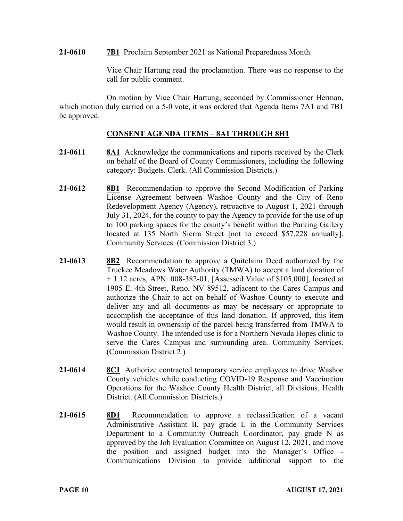**21-0610 7B1** Proclaim September 2021 as National Preparedness Month.

Vice Chair Hartung read the proclamation. There was no response to the call for public comment.

On motion by Vice Chair Hartung, seconded by Commissioner Herman, which motion duly carried on a 5-0 vote, it was ordered that Agenda Items 7A1 and 7B1 be approved.

#### **CONSENT AGENDA ITEMS** – **8A1 THROUGH 8H1**

- **21-0611 8A1** Acknowledge the communications and reports received by the Clerk on behalf of the Board of County Commissioners, including the following category: Budgets. Clerk. (All Commission Districts.)
- **21-0612 8B1** Recommendation to approve the Second Modification of Parking License Agreement between Washoe County and the City of Reno Redevelopment Agency (Agency), retroactive to August 1, 2021 through July 31, 2024, for the county to pay the Agency to provide for the use of up to 100 parking spaces for the county's benefit within the Parking Gallery located at 135 North Sierra Street [not to exceed \$57,228 annually]. Community Services. (Commission District 3.)
- **21-0613 8B2** Recommendation to approve a Quitclaim Deed authorized by the Truckee Meadows Water Authority (TMWA) to accept a land donation of + 1.12 acres, APN: 008-382-01, [Assessed Value of \$105,000], located at 1905 E. 4th Street, Reno, NV 89512, adjacent to the Cares Campus and authorize the Chair to act on behalf of Washoe County to execute and deliver any and all documents as may be necessary or appropriate to accomplish the acceptance of this land donation. If approved, this item would result in ownership of the parcel being transferred from TMWA to Washoe County. The intended use is for a Northern Nevada Hopes clinic to serve the Cares Campus and surrounding area. Community Services. (Commission District 2.)
- **21-0614 8C1** Authorize contracted temporary service employees to drive Washoe County vehicles while conducting COVID-19 Response and Vaccination Operations for the Washoe County Health District, all Divisions. Health District. (All Commission Districts.)
- **21-0615 8D1** Recommendation to approve a reclassification of a vacant Administrative Assistant II, pay grade L in the Community Services Department to a Community Outreach Coordinator, pay grade N as approved by the Job Evaluation Committee on August 12, 2021, and move the position and assigned budget into the Manager's Office - Communications Division to provide additional support to the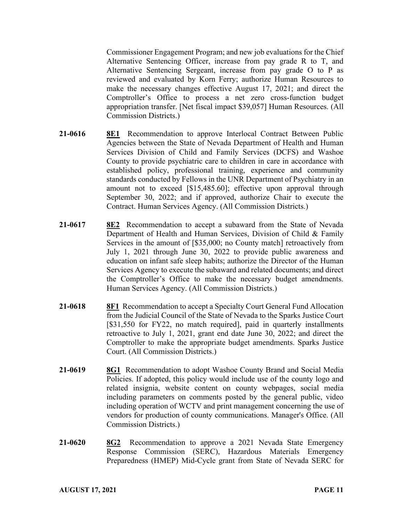Commissioner Engagement Program; and new job evaluations for the Chief Alternative Sentencing Officer, increase from pay grade R to T, and Alternative Sentencing Sergeant, increase from pay grade O to P as reviewed and evaluated by Korn Ferry; authorize Human Resources to make the necessary changes effective August 17, 2021; and direct the Comptroller's Office to process a net zero cross-function budget appropriation transfer. [Net fiscal impact \$39,057] Human Resources. (All Commission Districts.)

- **21-0616 8E1** Recommendation to approve Interlocal Contract Between Public Agencies between the State of Nevada Department of Health and Human Services Division of Child and Family Services (DCFS) and Washoe County to provide psychiatric care to children in care in accordance with established policy, professional training, experience and community standards conducted by Fellows in the UNR Department of Psychiatry in an amount not to exceed [\$15,485.60]; effective upon approval through September 30, 2022; and if approved, authorize Chair to execute the Contract. Human Services Agency. (All Commission Districts.)
- **21-0617 8E2** Recommendation to accept a subaward from the State of Nevada Department of Health and Human Services, Division of Child & Family Services in the amount of [\$35,000; no County match] retroactively from July 1, 2021 through June 30, 2022 to provide public awareness and education on infant safe sleep habits; authorize the Director of the Human Services Agency to execute the subaward and related documents; and direct the Comptroller's Office to make the necessary budget amendments. Human Services Agency. (All Commission Districts.)
- **21-0618 8F1** Recommendation to accept a Specialty Court General Fund Allocation from the Judicial Council of the State of Nevada to the Sparks Justice Court [\$31,550 for FY22, no match required], paid in quarterly installments retroactive to July 1, 2021, grant end date June 30, 2022; and direct the Comptroller to make the appropriate budget amendments. Sparks Justice Court. (All Commission Districts.)
- **21-0619 8G1** Recommendation to adopt Washoe County Brand and Social Media Policies. If adopted, this policy would include use of the county logo and related insignia, website content on county webpages, social media including parameters on comments posted by the general public, video including operation of WCTV and print management concerning the use of vendors for production of county communications. Manager's Office. (All Commission Districts.)
- **21-0620 8G2** Recommendation to approve a 2021 Nevada State Emergency Response Commission (SERC), Hazardous Materials Emergency Preparedness (HMEP) Mid-Cycle grant from State of Nevada SERC for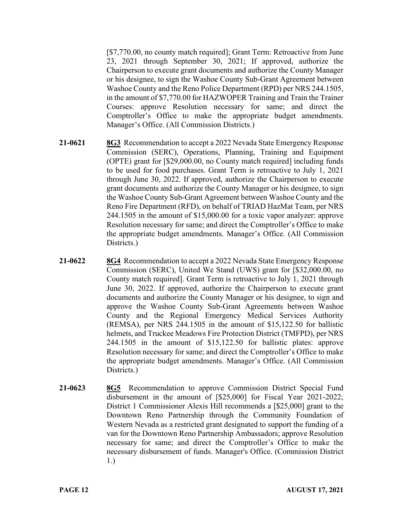[\$7,770.00, no county match required]; Grant Term: Retroactive from June 23, 2021 through September 30, 2021; If approved, authorize the Chairperson to execute grant documents and authorize the County Manager or his designee, to sign the Washoe County Sub-Grant Agreement between Washoe County and the Reno Police Department (RPD) per NRS 244.1505, in the amount of \$7,770.00 for HAZWOPER Training and Train the Trainer Courses: approve Resolution necessary for same; and direct the Comptroller's Office to make the appropriate budget amendments. Manager's Office. (All Commission Districts.)

- **21-0621 8G3** Recommendation to accept a 2022 Nevada State Emergency Response Commission (SERC), Operations, Planning, Training and Equipment (OPTE) grant for [\$29,000.00, no County match required] including funds to be used for food purchases. Grant Term is retroactive to July 1, 2021 through June 30, 2022. If approved, authorize the Chairperson to execute grant documents and authorize the County Manager or his designee, to sign the Washoe County Sub-Grant Agreement between Washoe County and the Reno Fire Department (RFD), on behalf of TRIAD HazMat Team, per NRS 244.1505 in the amount of \$15,000.00 for a toxic vapor analyzer: approve Resolution necessary for same; and direct the Comptroller's Office to make the appropriate budget amendments. Manager's Office. (All Commission Districts.)
- **21-0622 8G4** Recommendation to accept a 2022 Nevada State Emergency Response Commission (SERC), United We Stand (UWS) grant for [\$32,000.00, no County match required]. Grant Term is retroactive to July 1, 2021 through June 30, 2022. If approved, authorize the Chairperson to execute grant documents and authorize the County Manager or his designee, to sign and approve the Washoe County Sub-Grant Agreements between Washoe County and the Regional Emergency Medical Services Authority (REMSA), per NRS 244.1505 in the amount of \$15,122.50 for ballistic helmets, and Truckee Meadows Fire Protection District (TMFPD), per NRS 244.1505 in the amount of \$15,122.50 for ballistic plates: approve Resolution necessary for same; and direct the Comptroller's Office to make the appropriate budget amendments. Manager's Office. (All Commission Districts.)
- **21-0623 8G5** Recommendation to approve Commission District Special Fund disbursement in the amount of [\$25,000] for Fiscal Year 2021-2022; District 1 Commissioner Alexis Hill recommends a [\$25,000] grant to the Downtown Reno Partnership through the Community Foundation of Western Nevada as a restricted grant designated to support the funding of a van for the Downtown Reno Partnership Ambassadors; approve Resolution necessary for same; and direct the Comptroller's Office to make the necessary disbursement of funds. Manager's Office. (Commission District 1.)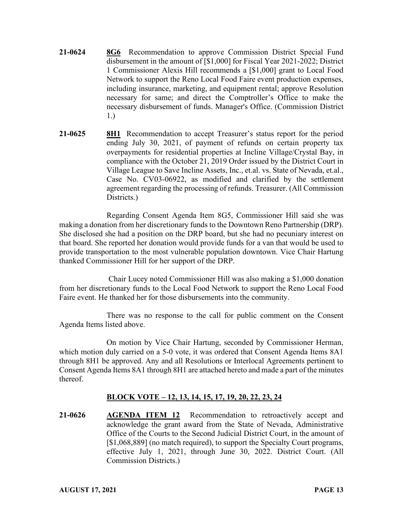- **21-0624 8G6** Recommendation to approve Commission District Special Fund disbursement in the amount of [\$1,000] for Fiscal Year 2021-2022; District 1 Commissioner Alexis Hill recommends a [\$1,000] grant to Local Food Network to support the Reno Local Food Faire event production expenses, including insurance, marketing, and equipment rental; approve Resolution necessary for same; and direct the Comptroller's Office to make the necessary disbursement of funds. Manager's Office. (Commission District 1.)
- **21-0625 8H1** Recommendation to accept Treasurer's status report for the period ending July 30, 2021, of payment of refunds on certain property tax overpayments for residential properties at Incline Village/Crystal Bay, in compliance with the October 21, 2019 Order issued by the District Court in Village League to Save Incline Assets, Inc., et.al. vs. State of Nevada, et.al., Case No. CV03-06922, as modified and clarified by the settlement agreement regarding the processing of refunds. Treasurer. (All Commission Districts.)

Regarding Consent Agenda Item 8G5, Commissioner Hill said she was making a donation from her discretionary funds to the Downtown Reno Partnership (DRP). She disclosed she had a position on the DRP board, but she had no pecuniary interest on that board. She reported her donation would provide funds for a van that would be used to provide transportation to the most vulnerable population downtown. Vice Chair Hartung thanked Commissioner Hill for her support of the DRP.

Chair Lucey noted Commissioner Hill was also making a \$1,000 donation from her discretionary funds to the Local Food Network to support the Reno Local Food Faire event. He thanked her for those disbursements into the community.

There was no response to the call for public comment on the Consent Agenda Items listed above.

On motion by Vice Chair Hartung, seconded by Commissioner Herman, which motion duly carried on a 5-0 vote, it was ordered that Consent Agenda Items 8A1 through 8H1 be approved. Any and all Resolutions or Interlocal Agreements pertinent to Consent Agenda Items 8A1 through 8H1 are attached hereto and made a part of the minutes thereof.

# **BLOCK VOTE – 12, 13, 14, 15, 17, 19, 20, 22, 23, 24**

**21-0626 AGENDA ITEM 12** Recommendation to retroactively accept and acknowledge the grant award from the State of Nevada, Administrative Office of the Courts to the Second Judicial District Court, in the amount of [\$1,068,889] (no match required), to support the Specialty Court programs, effective July 1, 2021, through June 30, 2022. District Court. (All Commission Districts.)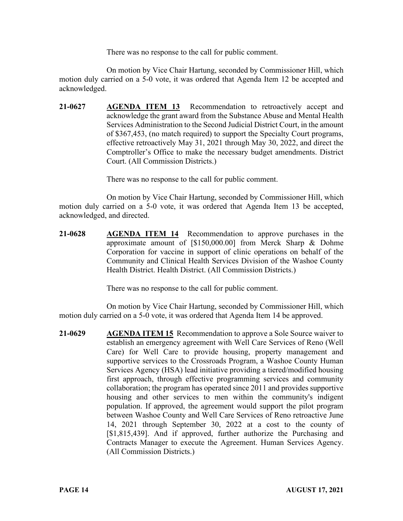There was no response to the call for public comment.

On motion by Vice Chair Hartung, seconded by Commissioner Hill, which motion duly carried on a 5-0 vote, it was ordered that Agenda Item 12 be accepted and acknowledged.

**21-0627 AGENDA ITEM 13** Recommendation to retroactively accept and acknowledge the grant award from the Substance Abuse and Mental Health Services Administration to the Second Judicial District Court, in the amount of \$367,453, (no match required) to support the Specialty Court programs, effective retroactively May 31, 2021 through May 30, 2022, and direct the Comptroller's Office to make the necessary budget amendments. District Court. (All Commission Districts.)

There was no response to the call for public comment.

On motion by Vice Chair Hartung, seconded by Commissioner Hill, which motion duly carried on a 5-0 vote, it was ordered that Agenda Item 13 be accepted, acknowledged, and directed.

**21-0628 AGENDA ITEM 14** Recommendation to approve purchases in the approximate amount of [\$150,000.00] from Merck Sharp & Dohme Corporation for vaccine in support of clinic operations on behalf of the Community and Clinical Health Services Division of the Washoe County Health District. Health District. (All Commission Districts.)

There was no response to the call for public comment.

On motion by Vice Chair Hartung, seconded by Commissioner Hill, which motion duly carried on a 5-0 vote, it was ordered that Agenda Item 14 be approved.

**21-0629 AGENDA ITEM 15** Recommendation to approve a Sole Source waiver to establish an emergency agreement with Well Care Services of Reno (Well Care) for Well Care to provide housing, property management and supportive services to the Crossroads Program, a Washoe County Human Services Agency (HSA) lead initiative providing a tiered/modified housing first approach, through effective programming services and community collaboration; the program has operated since 2011 and provides supportive housing and other services to men within the community's indigent population. If approved, the agreement would support the pilot program between Washoe County and Well Care Services of Reno retroactive June 14, 2021 through September 30, 2022 at a cost to the county of [\$1,815,439]. And if approved, further authorize the Purchasing and Contracts Manager to execute the Agreement. Human Services Agency. (All Commission Districts.)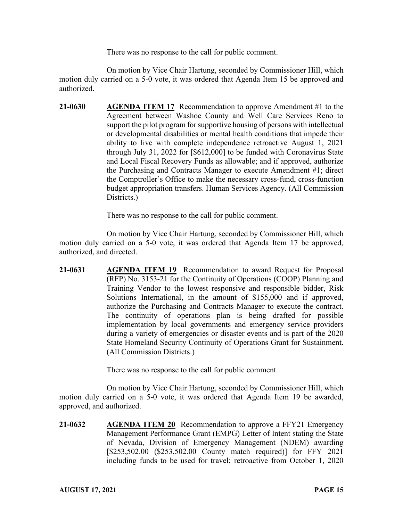There was no response to the call for public comment.

On motion by Vice Chair Hartung, seconded by Commissioner Hill, which motion duly carried on a 5-0 vote, it was ordered that Agenda Item 15 be approved and authorized.

**21-0630 AGENDA ITEM 17** Recommendation to approve Amendment #1 to the Agreement between Washoe County and Well Care Services Reno to support the pilot program for supportive housing of persons with intellectual or developmental disabilities or mental health conditions that impede their ability to live with complete independence retroactive August 1, 2021 through July 31, 2022 for [\$612,000] to be funded with Coronavirus State and Local Fiscal Recovery Funds as allowable; and if approved, authorize the Purchasing and Contracts Manager to execute Amendment #1; direct the Comptroller's Office to make the necessary cross-fund, cross-function budget appropriation transfers. Human Services Agency. (All Commission Districts.)

There was no response to the call for public comment.

On motion by Vice Chair Hartung, seconded by Commissioner Hill, which motion duly carried on a 5-0 vote, it was ordered that Agenda Item 17 be approved, authorized, and directed.

**21-0631 AGENDA ITEM 19** Recommendation to award Request for Proposal (RFP) No. 3153-21 for the Continuity of Operations (COOP) Planning and Training Vendor to the lowest responsive and responsible bidder, Risk Solutions International, in the amount of \$155,000 and if approved, authorize the Purchasing and Contracts Manager to execute the contract. The continuity of operations plan is being drafted for possible implementation by local governments and emergency service providers during a variety of emergencies or disaster events and is part of the 2020 State Homeland Security Continuity of Operations Grant for Sustainment. (All Commission Districts.)

There was no response to the call for public comment.

On motion by Vice Chair Hartung, seconded by Commissioner Hill, which motion duly carried on a 5-0 vote, it was ordered that Agenda Item 19 be awarded, approved, and authorized.

**21-0632 AGENDA ITEM 20** Recommendation to approve a FFY21 Emergency Management Performance Grant (EMPG) Letter of Intent stating the State of Nevada, Division of Emergency Management (NDEM) awarding [\$253,502.00 (\$253,502.00 County match required)] for FFY 2021 including funds to be used for travel; retroactive from October 1, 2020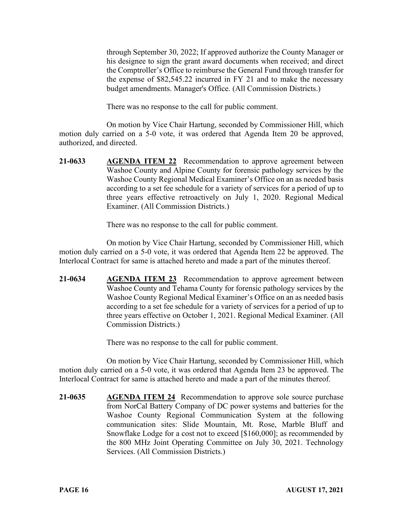through September 30, 2022; If approved authorize the County Manager or his designee to sign the grant award documents when received; and direct the Comptroller's Office to reimburse the General Fund through transfer for the expense of \$82,545.22 incurred in FY 21 and to make the necessary budget amendments. Manager's Office. (All Commission Districts.)

There was no response to the call for public comment.

On motion by Vice Chair Hartung, seconded by Commissioner Hill, which motion duly carried on a 5-0 vote, it was ordered that Agenda Item 20 be approved, authorized, and directed.

**21-0633 AGENDA ITEM 22** Recommendation to approve agreement between Washoe County and Alpine County for forensic pathology services by the Washoe County Regional Medical Examiner's Office on an as needed basis according to a set fee schedule for a variety of services for a period of up to three years effective retroactively on July 1, 2020. Regional Medical Examiner. (All Commission Districts.)

There was no response to the call for public comment.

On motion by Vice Chair Hartung, seconded by Commissioner Hill, which motion duly carried on a 5-0 vote, it was ordered that Agenda Item 22 be approved. The Interlocal Contract for same is attached hereto and made a part of the minutes thereof.

**21-0634 AGENDA ITEM 23** Recommendation to approve agreement between Washoe County and Tehama County for forensic pathology services by the Washoe County Regional Medical Examiner's Office on an as needed basis according to a set fee schedule for a variety of services for a period of up to three years effective on October 1, 2021. Regional Medical Examiner. (All Commission Districts.)

There was no response to the call for public comment.

On motion by Vice Chair Hartung, seconded by Commissioner Hill, which motion duly carried on a 5-0 vote, it was ordered that Agenda Item 23 be approved. The Interlocal Contract for same is attached hereto and made a part of the minutes thereof.

**21-0635 AGENDA ITEM 24** Recommendation to approve sole source purchase from NorCal Battery Company of DC power systems and batteries for the Washoe County Regional Communication System at the following communication sites: Slide Mountain, Mt. Rose, Marble Bluff and Snowflake Lodge for a cost not to exceed [\$160,000]; as recommended by the 800 MHz Joint Operating Committee on July 30, 2021. Technology Services. (All Commission Districts.)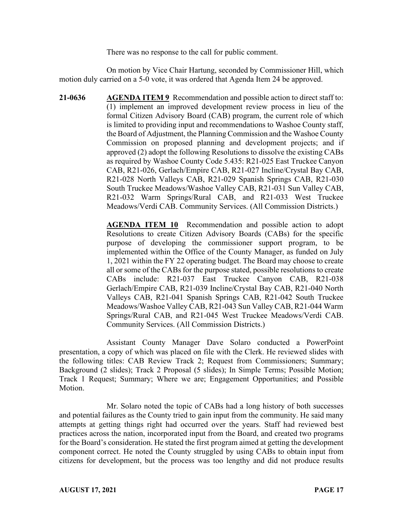There was no response to the call for public comment.

On motion by Vice Chair Hartung, seconded by Commissioner Hill, which motion duly carried on a 5-0 vote, it was ordered that Agenda Item 24 be approved.

**21-0636 AGENDA ITEM 9** Recommendation and possible action to direct staff to: (1) implement an improved development review process in lieu of the formal Citizen Advisory Board (CAB) program, the current role of which is limited to providing input and recommendations to Washoe County staff, the Board of Adjustment, the Planning Commission and the Washoe County Commission on proposed planning and development projects; and if approved (2) adopt the following Resolutions to dissolve the existing CABs as required by Washoe County Code 5.435: R21-025 East Truckee Canyon CAB, R21-026, Gerlach/Empire CAB, R21-027 Incline/Crystal Bay CAB, R21-028 North Valleys CAB, R21-029 Spanish Springs CAB, R21-030 South Truckee Meadows/Washoe Valley CAB, R21-031 Sun Valley CAB, R21-032 Warm Springs/Rural CAB, and R21-033 West Truckee Meadows/Verdi CAB. Community Services. (All Commission Districts.)

> **AGENDA ITEM 10** Recommendation and possible action to adopt Resolutions to create Citizen Advisory Boards (CABs) for the specific purpose of developing the commissioner support program, to be implemented within the Office of the County Manager, as funded on July 1, 2021 within the FY 22 operating budget. The Board may choose to create all or some of the CABs for the purpose stated, possible resolutions to create CABs include: R21-037 East Truckee Canyon CAB, R21-038 Gerlach/Empire CAB, R21-039 Incline/Crystal Bay CAB, R21-040 North Valleys CAB, R21-041 Spanish Springs CAB, R21-042 South Truckee Meadows/Washoe Valley CAB, R21-043 Sun Valley CAB, R21-044 Warm Springs/Rural CAB, and R21-045 West Truckee Meadows/Verdi CAB. Community Services. (All Commission Districts.)

Assistant County Manager Dave Solaro conducted a PowerPoint presentation, a copy of which was placed on file with the Clerk. He reviewed slides with the following titles: CAB Review Track 2; Request from Commissioners; Summary; Background (2 slides); Track 2 Proposal (5 slides); In Simple Terms; Possible Motion; Track 1 Request; Summary; Where we are; Engagement Opportunities; and Possible Motion.

Mr. Solaro noted the topic of CABs had a long history of both successes and potential failures as the County tried to gain input from the community. He said many attempts at getting things right had occurred over the years. Staff had reviewed best practices across the nation, incorporated input from the Board, and created two programs for the Board's consideration. He stated the first program aimed at getting the development component correct. He noted the County struggled by using CABs to obtain input from citizens for development, but the process was too lengthy and did not produce results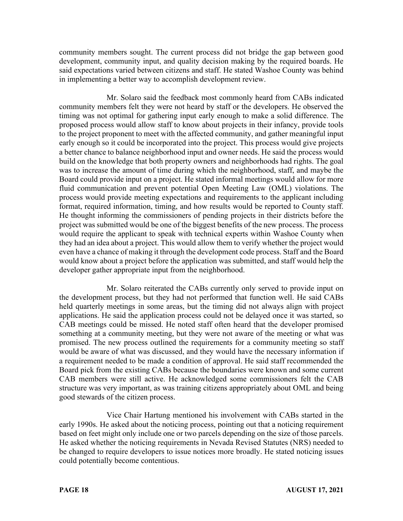community members sought. The current process did not bridge the gap between good development, community input, and quality decision making by the required boards. He said expectations varied between citizens and staff. He stated Washoe County was behind in implementing a better way to accomplish development review.

Mr. Solaro said the feedback most commonly heard from CABs indicated community members felt they were not heard by staff or the developers. He observed the timing was not optimal for gathering input early enough to make a solid difference. The proposed process would allow staff to know about projects in their infancy, provide tools to the project proponent to meet with the affected community, and gather meaningful input early enough so it could be incorporated into the project. This process would give projects a better chance to balance neighborhood input and owner needs. He said the process would build on the knowledge that both property owners and neighborhoods had rights. The goal was to increase the amount of time during which the neighborhood, staff, and maybe the Board could provide input on a project. He stated informal meetings would allow for more fluid communication and prevent potential Open Meeting Law (OML) violations. The process would provide meeting expectations and requirements to the applicant including format, required information, timing, and how results would be reported to County staff. He thought informing the commissioners of pending projects in their districts before the project was submitted would be one of the biggest benefits of the new process. The process would require the applicant to speak with technical experts within Washoe County when they had an idea about a project. This would allow them to verify whether the project would even have a chance of making it through the development code process. Staff and the Board would know about a project before the application was submitted, and staff would help the developer gather appropriate input from the neighborhood.

Mr. Solaro reiterated the CABs currently only served to provide input on the development process, but they had not performed that function well. He said CABs held quarterly meetings in some areas, but the timing did not always align with project applications. He said the application process could not be delayed once it was started, so CAB meetings could be missed. He noted staff often heard that the developer promised something at a community meeting, but they were not aware of the meeting or what was promised. The new process outlined the requirements for a community meeting so staff would be aware of what was discussed, and they would have the necessary information if a requirement needed to be made a condition of approval. He said staff recommended the Board pick from the existing CABs because the boundaries were known and some current CAB members were still active. He acknowledged some commissioners felt the CAB structure was very important, as was training citizens appropriately about OML and being good stewards of the citizen process.

Vice Chair Hartung mentioned his involvement with CABs started in the early 1990s. He asked about the noticing process, pointing out that a noticing requirement based on feet might only include one or two parcels depending on the size of those parcels. He asked whether the noticing requirements in Nevada Revised Statutes (NRS) needed to be changed to require developers to issue notices more broadly. He stated noticing issues could potentially become contentious.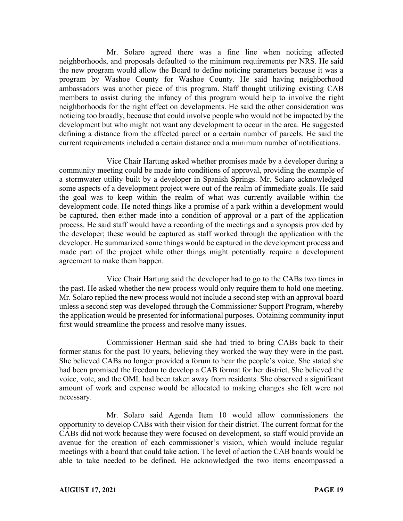Mr. Solaro agreed there was a fine line when noticing affected neighborhoods, and proposals defaulted to the minimum requirements per NRS. He said the new program would allow the Board to define noticing parameters because it was a program by Washoe County for Washoe County. He said having neighborhood ambassadors was another piece of this program. Staff thought utilizing existing CAB members to assist during the infancy of this program would help to involve the right neighborhoods for the right effect on developments. He said the other consideration was noticing too broadly, because that could involve people who would not be impacted by the development but who might not want any development to occur in the area. He suggested defining a distance from the affected parcel or a certain number of parcels. He said the current requirements included a certain distance and a minimum number of notifications.

Vice Chair Hartung asked whether promises made by a developer during a community meeting could be made into conditions of approval, providing the example of a stormwater utility built by a developer in Spanish Springs. Mr. Solaro acknowledged some aspects of a development project were out of the realm of immediate goals. He said the goal was to keep within the realm of what was currently available within the development code. He noted things like a promise of a park within a development would be captured, then either made into a condition of approval or a part of the application process. He said staff would have a recording of the meetings and a synopsis provided by the developer; these would be captured as staff worked through the application with the developer. He summarized some things would be captured in the development process and made part of the project while other things might potentially require a development agreement to make them happen.

Vice Chair Hartung said the developer had to go to the CABs two times in the past. He asked whether the new process would only require them to hold one meeting. Mr. Solaro replied the new process would not include a second step with an approval board unless a second step was developed through the Commissioner Support Program, whereby the application would be presented for informational purposes. Obtaining community input first would streamline the process and resolve many issues.

Commissioner Herman said she had tried to bring CABs back to their former status for the past 10 years, believing they worked the way they were in the past. She believed CABs no longer provided a forum to hear the people's voice. She stated she had been promised the freedom to develop a CAB format for her district. She believed the voice, vote, and the OML had been taken away from residents. She observed a significant amount of work and expense would be allocated to making changes she felt were not necessary.

Mr. Solaro said Agenda Item 10 would allow commissioners the opportunity to develop CABs with their vision for their district. The current format for the CABs did not work because they were focused on development, so staff would provide an avenue for the creation of each commissioner's vision, which would include regular meetings with a board that could take action. The level of action the CAB boards would be able to take needed to be defined. He acknowledged the two items encompassed a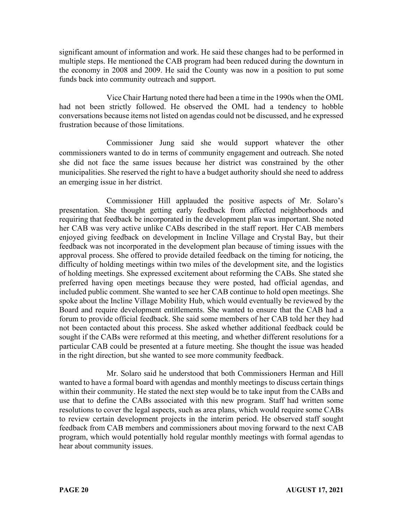significant amount of information and work. He said these changes had to be performed in multiple steps. He mentioned the CAB program had been reduced during the downturn in the economy in 2008 and 2009. He said the County was now in a position to put some funds back into community outreach and support.

Vice Chair Hartung noted there had been a time in the 1990s when the OML had not been strictly followed. He observed the OML had a tendency to hobble conversations because items not listed on agendas could not be discussed, and he expressed frustration because of those limitations.

Commissioner Jung said she would support whatever the other commissioners wanted to do in terms of community engagement and outreach. She noted she did not face the same issues because her district was constrained by the other municipalities. She reserved the right to have a budget authority should she need to address an emerging issue in her district.

Commissioner Hill applauded the positive aspects of Mr. Solaro's presentation. She thought getting early feedback from affected neighborhoods and requiring that feedback be incorporated in the development plan was important. She noted her CAB was very active unlike CABs described in the staff report. Her CAB members enjoyed giving feedback on development in Incline Village and Crystal Bay, but their feedback was not incorporated in the development plan because of timing issues with the approval process. She offered to provide detailed feedback on the timing for noticing, the difficulty of holding meetings within two miles of the development site, and the logistics of holding meetings. She expressed excitement about reforming the CABs. She stated she preferred having open meetings because they were posted, had official agendas, and included public comment. She wanted to see her CAB continue to hold open meetings. She spoke about the Incline Village Mobility Hub, which would eventually be reviewed by the Board and require development entitlements. She wanted to ensure that the CAB had a forum to provide official feedback. She said some members of her CAB told her they had not been contacted about this process. She asked whether additional feedback could be sought if the CABs were reformed at this meeting, and whether different resolutions for a particular CAB could be presented at a future meeting. She thought the issue was headed in the right direction, but she wanted to see more community feedback.

Mr. Solaro said he understood that both Commissioners Herman and Hill wanted to have a formal board with agendas and monthly meetings to discuss certain things within their community. He stated the next step would be to take input from the CABs and use that to define the CABs associated with this new program. Staff had written some resolutions to cover the legal aspects, such as area plans, which would require some CABs to review certain development projects in the interim period. He observed staff sought feedback from CAB members and commissioners about moving forward to the next CAB program, which would potentially hold regular monthly meetings with formal agendas to hear about community issues.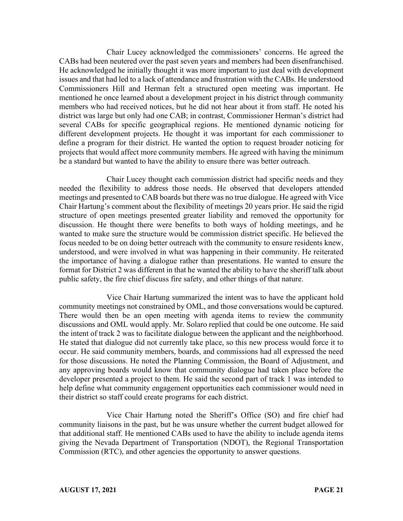Chair Lucey acknowledged the commissioners' concerns. He agreed the CABs had been neutered over the past seven years and members had been disenfranchised. He acknowledged he initially thought it was more important to just deal with development issues and that had led to a lack of attendance and frustration with the CABs. He understood Commissioners Hill and Herman felt a structured open meeting was important. He mentioned he once learned about a development project in his district through community members who had received notices, but he did not hear about it from staff. He noted his district was large but only had one CAB; in contrast, Commissioner Herman's district had several CABs for specific geographical regions. He mentioned dynamic noticing for different development projects. He thought it was important for each commissioner to define a program for their district. He wanted the option to request broader noticing for projects that would affect more community members. He agreed with having the minimum be a standard but wanted to have the ability to ensure there was better outreach.

Chair Lucey thought each commission district had specific needs and they needed the flexibility to address those needs. He observed that developers attended meetings and presented to CAB boards but there was no true dialogue. He agreed with Vice Chair Hartung's comment about the flexibility of meetings 20 years prior. He said the rigid structure of open meetings presented greater liability and removed the opportunity for discussion. He thought there were benefits to both ways of holding meetings, and he wanted to make sure the structure would be commission district specific. He believed the focus needed to be on doing better outreach with the community to ensure residents knew, understood, and were involved in what was happening in their community. He reiterated the importance of having a dialogue rather than presentations. He wanted to ensure the format for District 2 was different in that he wanted the ability to have the sheriff talk about public safety, the fire chief discuss fire safety, and other things of that nature.

Vice Chair Hartung summarized the intent was to have the applicant hold community meetings not constrained by OML, and those conversations would be captured. There would then be an open meeting with agenda items to review the community discussions and OML would apply. Mr. Solaro replied that could be one outcome. He said the intent of track 2 was to facilitate dialogue between the applicant and the neighborhood. He stated that dialogue did not currently take place, so this new process would force it to occur. He said community members, boards, and commissions had all expressed the need for those discussions. He noted the Planning Commission, the Board of Adjustment, and any approving boards would know that community dialogue had taken place before the developer presented a project to them. He said the second part of track 1 was intended to help define what community engagement opportunities each commissioner would need in their district so staff could create programs for each district.

Vice Chair Hartung noted the Sheriff's Office (SO) and fire chief had community liaisons in the past, but he was unsure whether the current budget allowed for that additional staff. He mentioned CABs used to have the ability to include agenda items giving the Nevada Department of Transportation (NDOT), the Regional Transportation Commission (RTC), and other agencies the opportunity to answer questions.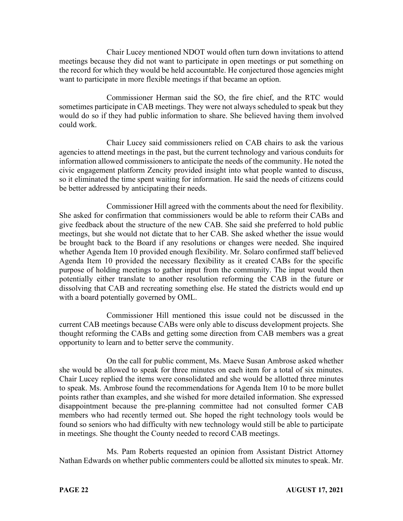Chair Lucey mentioned NDOT would often turn down invitations to attend meetings because they did not want to participate in open meetings or put something on the record for which they would be held accountable. He conjectured those agencies might want to participate in more flexible meetings if that became an option.

Commissioner Herman said the SO, the fire chief, and the RTC would sometimes participate in CAB meetings. They were not always scheduled to speak but they would do so if they had public information to share. She believed having them involved could work.

Chair Lucey said commissioners relied on CAB chairs to ask the various agencies to attend meetings in the past, but the current technology and various conduits for information allowed commissioners to anticipate the needs of the community. He noted the civic engagement platform Zencity provided insight into what people wanted to discuss, so it eliminated the time spent waiting for information. He said the needs of citizens could be better addressed by anticipating their needs.

Commissioner Hill agreed with the comments about the need for flexibility. She asked for confirmation that commissioners would be able to reform their CABs and give feedback about the structure of the new CAB. She said she preferred to hold public meetings, but she would not dictate that to her CAB. She asked whether the issue would be brought back to the Board if any resolutions or changes were needed. She inquired whether Agenda Item 10 provided enough flexibility. Mr. Solaro confirmed staff believed Agenda Item 10 provided the necessary flexibility as it created CABs for the specific purpose of holding meetings to gather input from the community. The input would then potentially either translate to another resolution reforming the CAB in the future or dissolving that CAB and recreating something else. He stated the districts would end up with a board potentially governed by OML.

Commissioner Hill mentioned this issue could not be discussed in the current CAB meetings because CABs were only able to discuss development projects. She thought reforming the CABs and getting some direction from CAB members was a great opportunity to learn and to better serve the community.

On the call for public comment, Ms. Maeve Susan Ambrose asked whether she would be allowed to speak for three minutes on each item for a total of six minutes. Chair Lucey replied the items were consolidated and she would be allotted three minutes to speak. Ms. Ambrose found the recommendations for Agenda Item 10 to be more bullet points rather than examples, and she wished for more detailed information. She expressed disappointment because the pre-planning committee had not consulted former CAB members who had recently termed out. She hoped the right technology tools would be found so seniors who had difficulty with new technology would still be able to participate in meetings. She thought the County needed to record CAB meetings.

Ms. Pam Roberts requested an opinion from Assistant District Attorney Nathan Edwards on whether public commenters could be allotted six minutes to speak. Mr.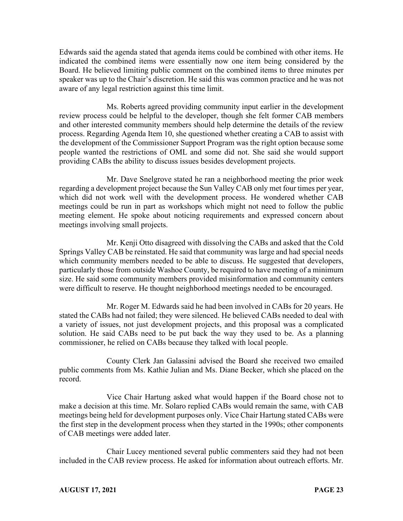Edwards said the agenda stated that agenda items could be combined with other items. He indicated the combined items were essentially now one item being considered by the Board. He believed limiting public comment on the combined items to three minutes per speaker was up to the Chair's discretion. He said this was common practice and he was not aware of any legal restriction against this time limit.

Ms. Roberts agreed providing community input earlier in the development review process could be helpful to the developer, though she felt former CAB members and other interested community members should help determine the details of the review process. Regarding Agenda Item 10, she questioned whether creating a CAB to assist with the development of the Commissioner Support Program was the right option because some people wanted the restrictions of OML and some did not. She said she would support providing CABs the ability to discuss issues besides development projects.

Mr. Dave Snelgrove stated he ran a neighborhood meeting the prior week regarding a development project because the Sun Valley CAB only met four times per year, which did not work well with the development process. He wondered whether CAB meetings could be run in part as workshops which might not need to follow the public meeting element. He spoke about noticing requirements and expressed concern about meetings involving small projects.

Mr. Kenji Otto disagreed with dissolving the CABs and asked that the Cold Springs Valley CAB be reinstated. He said that community was large and had special needs which community members needed to be able to discuss. He suggested that developers, particularly those from outside Washoe County, be required to have meeting of a minimum size. He said some community members provided misinformation and community centers were difficult to reserve. He thought neighborhood meetings needed to be encouraged.

Mr. Roger M. Edwards said he had been involved in CABs for 20 years. He stated the CABs had not failed; they were silenced. He believed CABs needed to deal with a variety of issues, not just development projects, and this proposal was a complicated solution. He said CABs need to be put back the way they used to be. As a planning commissioner, he relied on CABs because they talked with local people.

County Clerk Jan Galassini advised the Board she received two emailed public comments from Ms. Kathie Julian and Ms. Diane Becker, which she placed on the record.

Vice Chair Hartung asked what would happen if the Board chose not to make a decision at this time. Mr. Solaro replied CABs would remain the same, with CAB meetings being held for development purposes only. Vice Chair Hartung stated CABs were the first step in the development process when they started in the 1990s; other components of CAB meetings were added later.

Chair Lucey mentioned several public commenters said they had not been included in the CAB review process. He asked for information about outreach efforts. Mr.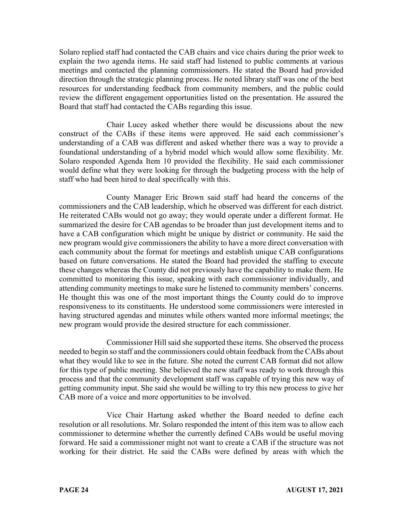Solaro replied staff had contacted the CAB chairs and vice chairs during the prior week to explain the two agenda items. He said staff had listened to public comments at various meetings and contacted the planning commissioners. He stated the Board had provided direction through the strategic planning process. He noted library staff was one of the best resources for understanding feedback from community members, and the public could review the different engagement opportunities listed on the presentation. He assured the Board that staff had contacted the CABs regarding this issue.

Chair Lucey asked whether there would be discussions about the new construct of the CABs if these items were approved. He said each commissioner's understanding of a CAB was different and asked whether there was a way to provide a foundational understanding of a hybrid model which would allow some flexibility. Mr. Solaro responded Agenda Item 10 provided the flexibility. He said each commissioner would define what they were looking for through the budgeting process with the help of staff who had been hired to deal specifically with this.

County Manager Eric Brown said staff had heard the concerns of the commissioners and the CAB leadership, which he observed was different for each district. He reiterated CABs would not go away; they would operate under a different format. He summarized the desire for CAB agendas to be broader than just development items and to have a CAB configuration which might be unique by district or community. He said the new program would give commissioners the ability to have a more direct conversation with each community about the format for meetings and establish unique CAB configurations based on future conversations. He stated the Board had provided the staffing to execute these changes whereas the County did not previously have the capability to make them. He committed to monitoring this issue, speaking with each commissioner individually, and attending community meetings to make sure he listened to community members' concerns. He thought this was one of the most important things the County could do to improve responsiveness to its constituents. He understood some commissioners were interested in having structured agendas and minutes while others wanted more informal meetings; the new program would provide the desired structure for each commissioner.

Commissioner Hill said she supported these items. She observed the process needed to begin so staff and the commissioners could obtain feedback from the CABs about what they would like to see in the future. She noted the current CAB format did not allow for this type of public meeting. She believed the new staff was ready to work through this process and that the community development staff was capable of trying this new way of getting community input. She said she would be willing to try this new process to give her CAB more of a voice and more opportunities to be involved.

Vice Chair Hartung asked whether the Board needed to define each resolution or all resolutions. Mr. Solaro responded the intent of this item was to allow each commissioner to determine whether the currently defined CABs would be useful moving forward. He said a commissioner might not want to create a CAB if the structure was not working for their district. He said the CABs were defined by areas with which the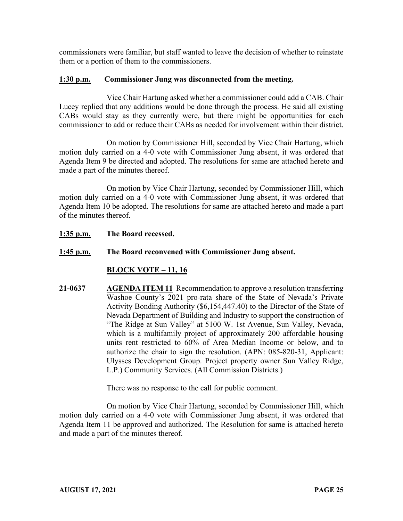commissioners were familiar, but staff wanted to leave the decision of whether to reinstate them or a portion of them to the commissioners.

#### **1:30 p.m. Commissioner Jung was disconnected from the meeting.**

Vice Chair Hartung asked whether a commissioner could add a CAB. Chair Lucey replied that any additions would be done through the process. He said all existing CABs would stay as they currently were, but there might be opportunities for each commissioner to add or reduce their CABs as needed for involvement within their district.

On motion by Commissioner Hill, seconded by Vice Chair Hartung, which motion duly carried on a 4-0 vote with Commissioner Jung absent, it was ordered that Agenda Item 9 be directed and adopted. The resolutions for same are attached hereto and made a part of the minutes thereof.

On motion by Vice Chair Hartung, seconded by Commissioner Hill, which motion duly carried on a 4-0 vote with Commissioner Jung absent, it was ordered that Agenda Item 10 be adopted. The resolutions for same are attached hereto and made a part of the minutes thereof.

**1:35 p.m. The Board recessed.**

# **1:45 p.m. The Board reconvened with Commissioner Jung absent.**

# **BLOCK VOTE – 11, 16**

**21-0637 AGENDA ITEM 11** Recommendation to approve a resolution transferring Washoe County's 2021 pro-rata share of the State of Nevada's Private Activity Bonding Authority (\$6,154,447.40) to the Director of the State of Nevada Department of Building and Industry to support the construction of "The Ridge at Sun Valley" at 5100 W. 1st Avenue, Sun Valley, Nevada, which is a multifamily project of approximately 200 affordable housing units rent restricted to 60% of Area Median Income or below, and to authorize the chair to sign the resolution. (APN: 085-820-31, Applicant: Ulysses Development Group. Project property owner Sun Valley Ridge, L.P.) Community Services. (All Commission Districts.)

There was no response to the call for public comment.

On motion by Vice Chair Hartung, seconded by Commissioner Hill, which motion duly carried on a 4-0 vote with Commissioner Jung absent, it was ordered that Agenda Item 11 be approved and authorized. The Resolution for same is attached hereto and made a part of the minutes thereof.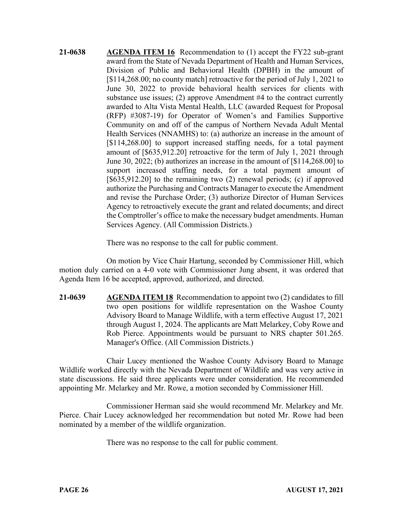**21-0638 AGENDA ITEM 16** Recommendation to (1) accept the FY22 sub-grant award from the State of Nevada Department of Health and Human Services, Division of Public and Behavioral Health (DPBH) in the amount of [\$114,268.00; no county match] retroactive for the period of July 1, 2021 to June 30, 2022 to provide behavioral health services for clients with substance use issues; (2) approve Amendment #4 to the contract currently awarded to Alta Vista Mental Health, LLC (awarded Request for Proposal (RFP) #3087-19) for Operator of Women's and Families Supportive Community on and off of the campus of Northern Nevada Adult Mental Health Services (NNAMHS) to: (a) authorize an increase in the amount of [\$114,268.00] to support increased staffing needs, for a total payment amount of [\$635,912.20] retroactive for the term of July 1, 2021 through June 30, 2022; (b) authorizes an increase in the amount of [\$114,268.00] to support increased staffing needs, for a total payment amount of [\$635,912.20] to the remaining two (2) renewal periods; (c) if approved authorize the Purchasing and Contracts Manager to execute the Amendment and revise the Purchase Order; (3) authorize Director of Human Services Agency to retroactively execute the grant and related documents; and direct the Comptroller's office to make the necessary budget amendments. Human Services Agency. (All Commission Districts.)

There was no response to the call for public comment.

On motion by Vice Chair Hartung, seconded by Commissioner Hill, which motion duly carried on a 4-0 vote with Commissioner Jung absent, it was ordered that Agenda Item 16 be accepted, approved, authorized, and directed.

**21-0639 AGENDA ITEM 18** Recommendation to appoint two (2) candidates to fill two open positions for wildlife representation on the Washoe County Advisory Board to Manage Wildlife, with a term effective August 17, 2021 through August 1, 2024. The applicants are Matt Melarkey, Coby Rowe and Rob Pierce. Appointments would be pursuant to NRS chapter 501.265. Manager's Office. (All Commission Districts.)

Chair Lucey mentioned the Washoe County Advisory Board to Manage Wildlife worked directly with the Nevada Department of Wildlife and was very active in state discussions. He said three applicants were under consideration. He recommended appointing Mr. Melarkey and Mr. Rowe, a motion seconded by Commissioner Hill.

Commissioner Herman said she would recommend Mr. Melarkey and Mr. Pierce. Chair Lucey acknowledged her recommendation but noted Mr. Rowe had been nominated by a member of the wildlife organization.

There was no response to the call for public comment.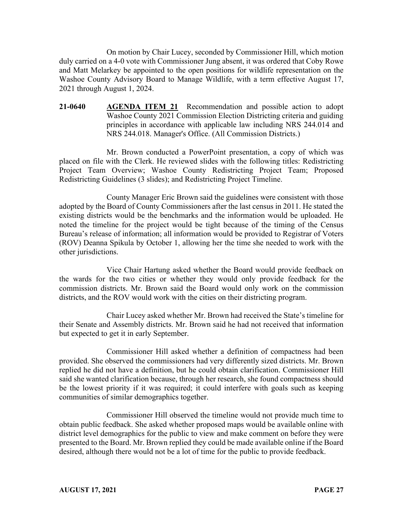On motion by Chair Lucey, seconded by Commissioner Hill, which motion duly carried on a 4-0 vote with Commissioner Jung absent, it was ordered that Coby Rowe and Matt Melarkey be appointed to the open positions for wildlife representation on the Washoe County Advisory Board to Manage Wildlife, with a term effective August 17, 2021 through August 1, 2024.

**21-0640 AGENDA ITEM 21** Recommendation and possible action to adopt Washoe County 2021 Commission Election Districting criteria and guiding principles in accordance with applicable law including NRS 244.014 and NRS 244.018. Manager's Office. (All Commission Districts.)

Mr. Brown conducted a PowerPoint presentation, a copy of which was placed on file with the Clerk. He reviewed slides with the following titles: Redistricting Project Team Overview; Washoe County Redistricting Project Team; Proposed Redistricting Guidelines (3 slides); and Redistricting Project Timeline.

County Manager Eric Brown said the guidelines were consistent with those adopted by the Board of County Commissioners after the last census in 2011. He stated the existing districts would be the benchmarks and the information would be uploaded. He noted the timeline for the project would be tight because of the timing of the Census Bureau's release of information; all information would be provided to Registrar of Voters (ROV) Deanna Spikula by October 1, allowing her the time she needed to work with the other jurisdictions.

Vice Chair Hartung asked whether the Board would provide feedback on the wards for the two cities or whether they would only provide feedback for the commission districts. Mr. Brown said the Board would only work on the commission districts, and the ROV would work with the cities on their districting program.

Chair Lucey asked whether Mr. Brown had received the State's timeline for their Senate and Assembly districts. Mr. Brown said he had not received that information but expected to get it in early September.

Commissioner Hill asked whether a definition of compactness had been provided. She observed the commissioners had very differently sized districts. Mr. Brown replied he did not have a definition, but he could obtain clarification. Commissioner Hill said she wanted clarification because, through her research, she found compactness should be the lowest priority if it was required; it could interfere with goals such as keeping communities of similar demographics together.

Commissioner Hill observed the timeline would not provide much time to obtain public feedback. She asked whether proposed maps would be available online with district level demographics for the public to view and make comment on before they were presented to the Board. Mr. Brown replied they could be made available online if the Board desired, although there would not be a lot of time for the public to provide feedback.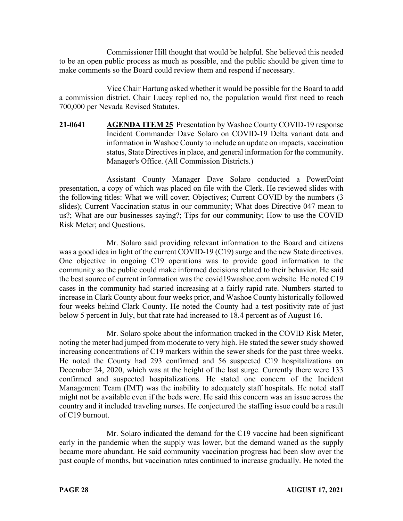Commissioner Hill thought that would be helpful. She believed this needed to be an open public process as much as possible, and the public should be given time to make comments so the Board could review them and respond if necessary.

Vice Chair Hartung asked whether it would be possible for the Board to add a commission district. Chair Lucey replied no, the population would first need to reach 700,000 per Nevada Revised Statutes.

**21-0641 AGENDA ITEM 25** Presentation by Washoe County COVID-19 response Incident Commander Dave Solaro on COVID-19 Delta variant data and information in Washoe County to include an update on impacts, vaccination status, State Directives in place, and general information for the community. Manager's Office. (All Commission Districts.)

Assistant County Manager Dave Solaro conducted a PowerPoint presentation, a copy of which was placed on file with the Clerk. He reviewed slides with the following titles: What we will cover; Objectives; Current COVID by the numbers (3 slides); Current Vaccination status in our community; What does Directive 047 mean to us?; What are our businesses saying?; Tips for our community; How to use the COVID Risk Meter; and Questions.

Mr. Solaro said providing relevant information to the Board and citizens was a good idea in light of the current COVID-19 (C19) surge and the new State directives. One objective in ongoing C19 operations was to provide good information to the community so the public could make informed decisions related to their behavior. He said the best source of current information was the covid19washoe.com website. He noted C19 cases in the community had started increasing at a fairly rapid rate. Numbers started to increase in Clark County about four weeks prior, and Washoe County historically followed four weeks behind Clark County. He noted the County had a test positivity rate of just below 5 percent in July, but that rate had increased to 18.4 percent as of August 16.

Mr. Solaro spoke about the information tracked in the COVID Risk Meter, noting the meter had jumped from moderate to very high. He stated the sewer study showed increasing concentrations of C19 markers within the sewer sheds for the past three weeks. He noted the County had 293 confirmed and 56 suspected C19 hospitalizations on December 24, 2020, which was at the height of the last surge. Currently there were 133 confirmed and suspected hospitalizations. He stated one concern of the Incident Management Team (IMT) was the inability to adequately staff hospitals. He noted staff might not be available even if the beds were. He said this concern was an issue across the country and it included traveling nurses. He conjectured the staffing issue could be a result of C19 burnout.

Mr. Solaro indicated the demand for the C19 vaccine had been significant early in the pandemic when the supply was lower, but the demand waned as the supply became more abundant. He said community vaccination progress had been slow over the past couple of months, but vaccination rates continued to increase gradually. He noted the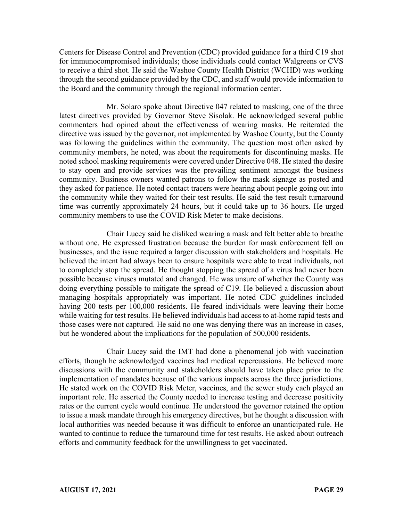Centers for Disease Control and Prevention (CDC) provided guidance for a third C19 shot for immunocompromised individuals; those individuals could contact Walgreens or CVS to receive a third shot. He said the Washoe County Health District (WCHD) was working through the second guidance provided by the CDC, and staff would provide information to the Board and the community through the regional information center.

Mr. Solaro spoke about Directive 047 related to masking, one of the three latest directives provided by Governor Steve Sisolak. He acknowledged several public commenters had opined about the effectiveness of wearing masks. He reiterated the directive was issued by the governor, not implemented by Washoe County, but the County was following the guidelines within the community. The question most often asked by community members, he noted, was about the requirements for discontinuing masks. He noted school masking requirements were covered under Directive 048. He stated the desire to stay open and provide services was the prevailing sentiment amongst the business community. Business owners wanted patrons to follow the mask signage as posted and they asked for patience. He noted contact tracers were hearing about people going out into the community while they waited for their test results. He said the test result turnaround time was currently approximately 24 hours, but it could take up to 36 hours. He urged community members to use the COVID Risk Meter to make decisions.

Chair Lucey said he disliked wearing a mask and felt better able to breathe without one. He expressed frustration because the burden for mask enforcement fell on businesses, and the issue required a larger discussion with stakeholders and hospitals. He believed the intent had always been to ensure hospitals were able to treat individuals, not to completely stop the spread. He thought stopping the spread of a virus had never been possible because viruses mutated and changed. He was unsure of whether the County was doing everything possible to mitigate the spread of C19. He believed a discussion about managing hospitals appropriately was important. He noted CDC guidelines included having 200 tests per 100,000 residents. He feared individuals were leaving their home while waiting for test results. He believed individuals had access to at-home rapid tests and those cases were not captured. He said no one was denying there was an increase in cases, but he wondered about the implications for the population of 500,000 residents.

Chair Lucey said the IMT had done a phenomenal job with vaccination efforts, though he acknowledged vaccines had medical repercussions. He believed more discussions with the community and stakeholders should have taken place prior to the implementation of mandates because of the various impacts across the three jurisdictions. He stated work on the COVID Risk Meter, vaccines, and the sewer study each played an important role. He asserted the County needed to increase testing and decrease positivity rates or the current cycle would continue. He understood the governor retained the option to issue a mask mandate through his emergency directives, but he thought a discussion with local authorities was needed because it was difficult to enforce an unanticipated rule. He wanted to continue to reduce the turnaround time for test results. He asked about outreach efforts and community feedback for the unwillingness to get vaccinated.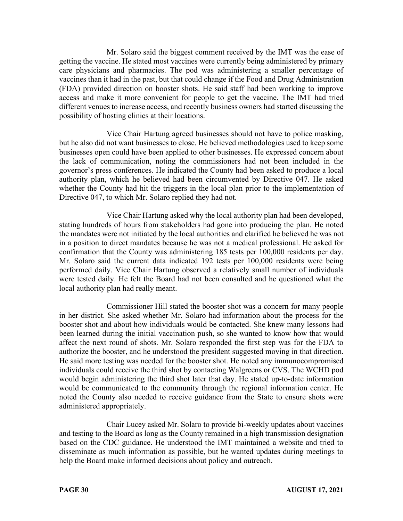Mr. Solaro said the biggest comment received by the IMT was the ease of getting the vaccine. He stated most vaccines were currently being administered by primary care physicians and pharmacies. The pod was administering a smaller percentage of vaccines than it had in the past, but that could change if the Food and Drug Administration (FDA) provided direction on booster shots. He said staff had been working to improve access and make it more convenient for people to get the vaccine. The IMT had tried different venues to increase access, and recently business owners had started discussing the possibility of hosting clinics at their locations.

Vice Chair Hartung agreed businesses should not have to police masking, but he also did not want businesses to close. He believed methodologies used to keep some businesses open could have been applied to other businesses. He expressed concern about the lack of communication, noting the commissioners had not been included in the governor's press conferences. He indicated the County had been asked to produce a local authority plan, which he believed had been circumvented by Directive 047. He asked whether the County had hit the triggers in the local plan prior to the implementation of Directive 047, to which Mr. Solaro replied they had not.

Vice Chair Hartung asked why the local authority plan had been developed, stating hundreds of hours from stakeholders had gone into producing the plan. He noted the mandates were not initiated by the local authorities and clarified he believed he was not in a position to direct mandates because he was not a medical professional. He asked for confirmation that the County was administering 185 tests per 100,000 residents per day. Mr. Solaro said the current data indicated 192 tests per 100,000 residents were being performed daily. Vice Chair Hartung observed a relatively small number of individuals were tested daily. He felt the Board had not been consulted and he questioned what the local authority plan had really meant.

Commissioner Hill stated the booster shot was a concern for many people in her district. She asked whether Mr. Solaro had information about the process for the booster shot and about how individuals would be contacted. She knew many lessons had been learned during the initial vaccination push, so she wanted to know how that would affect the next round of shots. Mr. Solaro responded the first step was for the FDA to authorize the booster, and he understood the president suggested moving in that direction. He said more testing was needed for the booster shot. He noted any immunocompromised individuals could receive the third shot by contacting Walgreens or CVS. The WCHD pod would begin administering the third shot later that day. He stated up-to-date information would be communicated to the community through the regional information center. He noted the County also needed to receive guidance from the State to ensure shots were administered appropriately.

Chair Lucey asked Mr. Solaro to provide bi-weekly updates about vaccines and testing to the Board as long as the County remained in a high transmission designation based on the CDC guidance. He understood the IMT maintained a website and tried to disseminate as much information as possible, but he wanted updates during meetings to help the Board make informed decisions about policy and outreach.